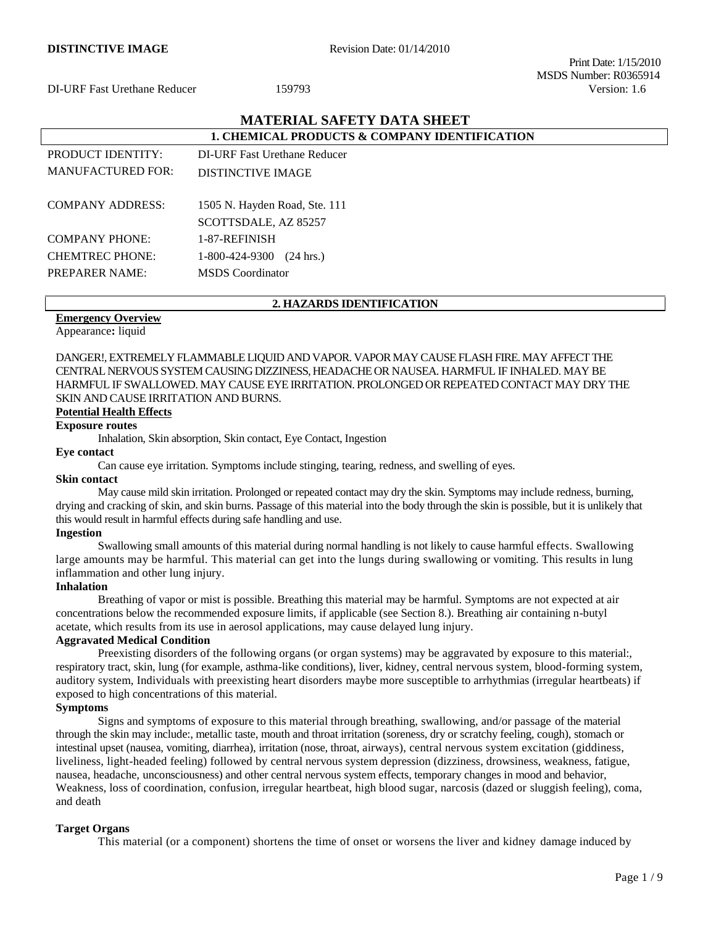Print Date: 1/15/2010 MSDS Number: R0365914

# **MATERIAL SAFETY DATA SHEET**

| <b>1. CHEMICAL PRODUCTS &amp; COMPANY IDENTIFICATION</b> |                                       |  |
|----------------------------------------------------------|---------------------------------------|--|
| PRODUCT IDENTITY:                                        | DI-URF Fast Urethane Reducer          |  |
| <b>MANUFACTURED FOR:</b>                                 | DISTINCTIVE IMAGE                     |  |
| <b>COMPANY ADDRESS:</b>                                  | 1505 N. Hayden Road, Ste. 111         |  |
|                                                          |                                       |  |
| <b>COMPANY PHONE:</b>                                    | 1-87-REFINISH                         |  |
| <b>CHEMTREC PHONE:</b>                                   | 1-800-424-9300<br>$(24 \text{ hrs.})$ |  |
| <b>PREPARER NAME:</b>                                    | <b>MSDS</b> Coordinator               |  |
|                                                          | SCOTTSDALE, AZ 85257                  |  |

#### **2. HAZARDS IDENTIFICATION**

#### **Emergency Overview**

Appearance**:** liquid

DANGER!, EXTREMELY FLAMMABLE LIQUID AND VAPOR. VAPOR MAY CAUSE FLASH FIRE. MAY AFFECT THE CENTRAL NERVOUS SYSTEM CAUSING DIZZINESS, HEADACHE OR NAUSEA. HARMFUL IF INHALED. MAY BE HARMFUL IF SWALLOWED. MAY CAUSE EYE IRRITATION. PROLONGED OR REPEATED CONTACT MAY DRY THE SKIN AND CAUSE IRRITATION AND BURNS.

## **Potential Health Effects**

**Exposure routes**

Inhalation, Skin absorption, Skin contact, Eye Contact, Ingestion

#### **Eye contact**

Can cause eye irritation. Symptoms include stinging, tearing, redness, and swelling of eyes.

#### **Skin contact**

May cause mild skin irritation. Prolonged or repeated contact may dry the skin. Symptoms may include redness, burning, drying and cracking of skin, and skin burns. Passage of this material into the body through the skin is possible, but it is unlikely that this would result in harmful effects during safe handling and use.

#### **Ingestion**

Swallowing small amounts of this material during normal handling is not likely to cause harmful effects. Swallowing large amounts may be harmful. This material can get into the lungs during swallowing or vomiting. This results in lung inflammation and other lung injury.

#### **Inhalation**

Breathing of vapor or mist is possible. Breathing this material may be harmful. Symptoms are not expected at air concentrations below the recommended exposure limits, if applicable (see Section 8.). Breathing air containing n-butyl acetate, which results from its use in aerosol applications, may cause delayed lung injury.

#### **Aggravated Medical Condition**

Preexisting disorders of the following organs (or organ systems) may be aggravated by exposure to this material:, respiratory tract, skin, lung (for example, asthma-like conditions), liver, kidney, central nervous system, blood-forming system, auditory system, Individuals with preexisting heart disorders maybe more susceptible to arrhythmias (irregular heartbeats) if exposed to high concentrations of this material.

### **Symptoms**

Signs and symptoms of exposure to this material through breathing, swallowing, and/or passage of the material through the skin may include:, metallic taste, mouth and throat irritation (soreness, dry or scratchy feeling, cough), stomach or intestinal upset (nausea, vomiting, diarrhea), irritation (nose, throat, airways), central nervous system excitation (giddiness, liveliness, light-headed feeling) followed by central nervous system depression (dizziness, drowsiness, weakness, fatigue, nausea, headache, unconsciousness) and other central nervous system effects, temporary changes in mood and behavior, Weakness, loss of coordination, confusion, irregular heartbeat, high blood sugar, narcosis (dazed or sluggish feeling), coma, and death

#### **Target Organs**

This material (or a component) shortens the time of onset or worsens the liver and kidney damage induced by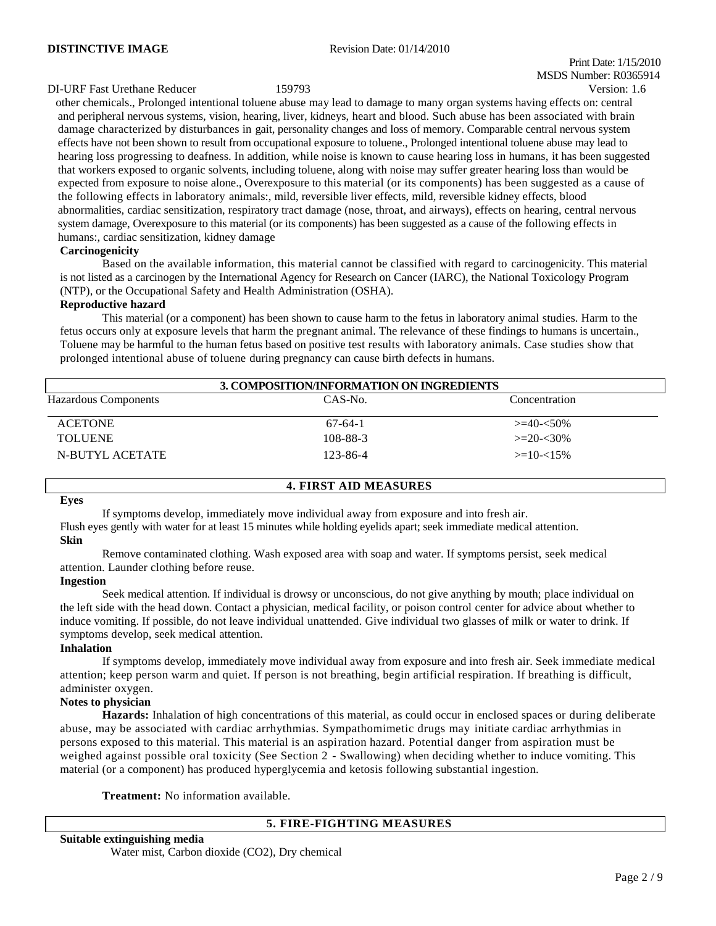Print Date: 1/15/2010 MSDS Number: R0365914

#### DI-URF Fast Urethane Reducer 159793 Version: 1.6

other chemicals., Prolonged intentional toluene abuse may lead to damage to many organ systems having effects on: central and peripheral nervous systems, vision, hearing, liver, kidneys, heart and blood. Such abuse has been associated with brain damage characterized by disturbances in gait, personality changes and loss of memory. Comparable central nervous system effects have not been shown to result from occupational exposure to toluene., Prolonged intentional toluene abuse may lead to hearing loss progressing to deafness. In addition, while noise is known to cause hearing loss in humans, it has been suggested that workers exposed to organic solvents, including toluene, along with noise may suffer greater hearing loss than would be expected from exposure to noise alone., Overexposure to this material (or its components) has been suggested as a cause of the following effects in laboratory animals:, mild, reversible liver effects, mild, reversible kidney effects, blood abnormalities, cardiac sensitization, respiratory tract damage (nose, throat, and airways), effects on hearing, central nervous system damage, Overexposure to this material (or its components) has been suggested as a cause of the following effects in humans:, cardiac sensitization, kidney damage

#### **Carcinogenicity**

Based on the available information, this material cannot be classified with regard to carcinogenicity. This material is not listed as a carcinogen by the International Agency for Research on Cancer (IARC), the National Toxicology Program (NTP), or the Occupational Safety and Health Administration (OSHA).

#### **Reproductive hazard**

This material (or a component) has been shown to cause harm to the fetus in laboratory animal studies. Harm to the fetus occurs only at exposure levels that harm the pregnant animal. The relevance of these findings to humans is uncertain., Toluene may be harmful to the human fetus based on positive test results with laboratory animals. Case studies show that prolonged intentional abuse of toluene during pregnancy can cause birth defects in humans.

| 3. COMPOSITION/INFORMATION ON INGREDIENTS |           |                  |  |  |
|-------------------------------------------|-----------|------------------|--|--|
| Hazardous Components                      | CAS-No.   | Concentration    |  |  |
| <b>ACETONE</b>                            | $67-64-1$ | $>=$ 40- $<$ 50% |  |  |
| <b>TOLUENE</b>                            | 108-88-3  | $>=20-30%$       |  |  |
| N-BUTYL ACETATE                           | 123-86-4  | $>=10-15%$       |  |  |

#### **4. FIRST AID MEASURES**

#### **Eyes**

If symptoms develop, immediately move individual away from exposure and into fresh air.

Flush eyes gently with water for at least 15 minutes while holding eyelids apart; seek immediate medical attention. **Skin**

Remove contaminated clothing. Wash exposed area with soap and water. If symptoms persist, seek medical attention. Launder clothing before reuse.

#### **Ingestion**

Seek medical attention. If individual is drowsy or unconscious, do not give anything by mouth; place individual on the left side with the head down. Contact a physician, medical facility, or poison control center for advice about whether to induce vomiting. If possible, do not leave individual unattended. Give individual two glasses of milk or water to drink. If symptoms develop, seek medical attention.

#### **Inhalation**

If symptoms develop, immediately move individual away from exposure and into fresh air. Seek immediate medical attention; keep person warm and quiet. If person is not breathing, begin artificial respiration. If breathing is difficult, administer oxygen.

#### **Notes to physician**

**Hazards:** Inhalation of high concentrations of this material, as could occur in enclosed spaces or during deliberate abuse, may be associated with cardiac arrhythmias. Sympathomimetic drugs may initiate cardiac arrhythmias in persons exposed to this material. This material is an aspiration hazard. Potential danger from aspiration must be weighed against possible oral toxicity (See Section 2 - Swallowing) when deciding whether to induce vomiting. This material (or a component) has produced hyperglycemia and ketosis following substantial ingestion.

**Treatment:** No information available.

### **5. FIRE-FIGHTING MEASURES**

| Suitable extinguishing media                   |  |
|------------------------------------------------|--|
| Water mist, Carbon dioxide (CO2), Dry chemical |  |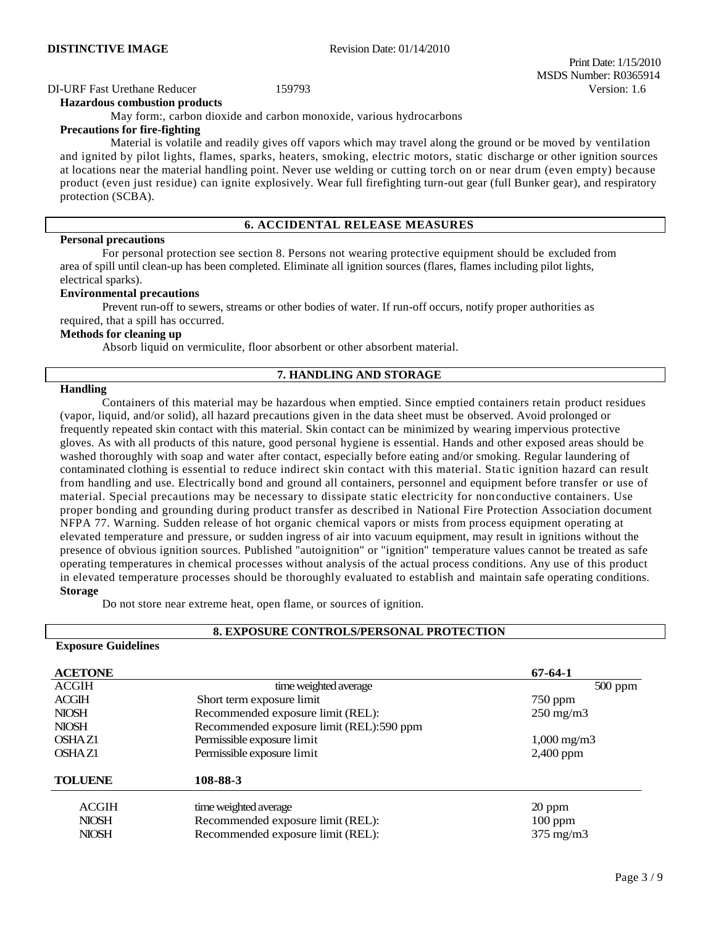# DI-URF Fast Urethane Reducer 159793 Version: 1.6

#### **Hazardous combustion products**

May form:, carbon dioxide and carbon monoxide, various hydrocarbons

#### **Precautions for fire-fighting**

Material is volatile and readily gives off vapors which may travel along the ground or be moved by ventilation and ignited by pilot lights, flames, sparks, heaters, smoking, electric motors, static discharge or other ignition sources at locations near the material handling point. Never use welding or cutting torch on or near drum (even empty) because product (even just residue) can ignite explosively. Wear full firefighting turn-out gear (full Bunker gear), and respiratory protection (SCBA).

#### **6. ACCIDENTAL RELEASE MEASURES**

#### **Personal precautions**

For personal protection see section 8. Persons not wearing protective equipment should be excluded from area of spill until clean-up has been completed. Eliminate all ignition sources (flares, flames including pilot lights, electrical sparks).

#### **Environmental precautions**

Prevent run-off to sewers, streams or other bodies of water. If run-off occurs, notify proper authorities as required, that a spill has occurred.

#### **Methods for cleaning up**

Absorb liquid on vermiculite, floor absorbent or other absorbent material.

#### **7. HANDLING AND STORAGE**

#### **Handling**

Containers of this material may be hazardous when emptied. Since emptied containers retain product residues (vapor, liquid, and/or solid), all hazard precautions given in the data sheet must be observed. Avoid prolonged or frequently repeated skin contact with this material. Skin contact can be minimized by wearing impervious protective gloves. As with all products of this nature, good personal hygiene is essential. Hands and other exposed areas should be washed thoroughly with soap and water after contact, especially before eating and/or smoking. Regular laundering of contaminated clothing is essential to reduce indirect skin contact with this material. Static ignition hazard can result from handling and use. Electrically bond and ground all containers, personnel and equipment before transfer or use of material. Special precautions may be necessary to dissipate static electricity for non conductive containers. Use proper bonding and grounding during product transfer as described in National Fire Protection Association document NFPA 77. Warning. Sudden release of hot organic chemical vapors or mists from process equipment operating at elevated temperature and pressure, or sudden ingress of air into vacuum equipment, may result in ignitions without the presence of obvious ignition sources. Published "autoignition" or "ignition" temperature values cannot be treated as safe operating temperatures in chemical processes without analysis of the actual process conditions. Any use of this product in elevated temperature processes should be thoroughly evaluated to establish and maintain safe operating conditions. **Storage**

Do not store near extreme heat, open flame, or sources of ignition.

#### **8. EXPOSURE CONTROLS/PERSONAL PROTECTION**

# **Exposure Guidelines**

| <b>ACETONE</b> |                                          | $67 - 64 - 1$        |
|----------------|------------------------------------------|----------------------|
| <b>ACGIH</b>   | time weighted average                    | $500$ ppm            |
| <b>ACGIH</b>   | Short term exposure limit                | $750$ ppm            |
| <b>NIOSH</b>   | Recommended exposure limit (REL):        | $250 \text{ mg/m}$   |
| <b>NIOSH</b>   | Recommended exposure limit (REL):590 ppm |                      |
| OSHAZ1         | Permissible exposure limit               | $1,000 \text{ mg/m}$ |
| OSHAZ1         | Permissible exposure limit               | 2,400 ppm            |
| <b>TOLUENE</b> | 108-88-3                                 |                      |
| <b>ACGIH</b>   | time weighted average                    | 20 ppm               |
| <b>NIOSH</b>   | Recommended exposure limit (REL):        | $100$ ppm            |
| <b>NIOSH</b>   | Recommended exposure limit (REL):        | $375 \text{ mg/m}$   |

 Print Date: 1/15/2010 MSDS Number: R0365914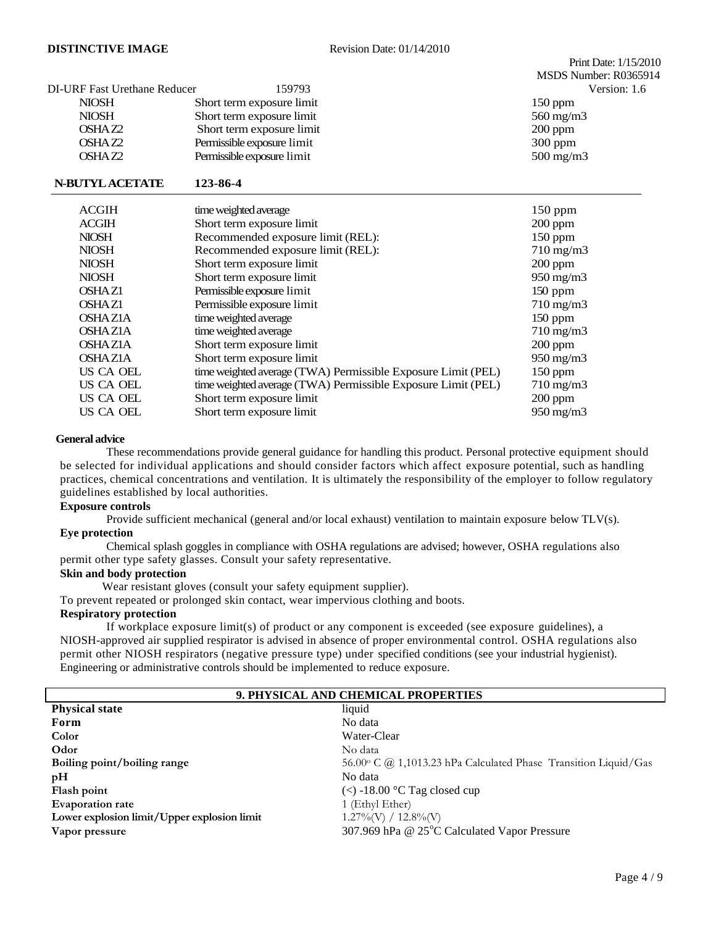|                              |                                                              | MSDS Number: R0365914 |
|------------------------------|--------------------------------------------------------------|-----------------------|
| DI-URF Fast Urethane Reducer | 159793                                                       | Version: 1.6          |
| <b>NIOSH</b>                 | Short term exposure limit                                    | $150$ ppm             |
| <b>NIOSH</b>                 | Short term exposure limit                                    | 560 mg/m3             |
| OSHAZ2                       | Short term exposure limit                                    | $200$ ppm             |
| OSHAZ2                       | Permissible exposure limit                                   | 300 ppm               |
| OSHAZ2                       | Permissible exposure limit                                   | $500 \text{ mg/m}$    |
| <b>N-BUTYL ACETATE</b>       | 123-86-4                                                     |                       |
| <b>ACGIH</b>                 | time weighted average                                        | 150 ppm               |
| <b>ACGIH</b>                 | Short term exposure limit                                    | 200 ppm               |
| <b>NIOSH</b>                 | Recommended exposure limit (REL):                            | $150$ ppm             |
| <b>NIOSH</b>                 | Recommended exposure limit (REL):                            | $710 \text{ mg/m}$    |
| <b>NIOSH</b>                 | Short term exposure limit                                    | $200$ ppm             |
| <b>NIOSH</b>                 | Short term exposure limit                                    | 950 mg/m3             |
| <b>OSHAZ1</b>                | Permissible exposure limit                                   | $150$ ppm             |
| <b>OSHAZ1</b>                | Permissible exposure limit                                   | $710 \text{ mg/m}$    |
| <b>OSHAZIA</b>               | time weighted average                                        | $150$ ppm             |
| <b>OSHAZ1A</b>               | time weighted average                                        | $710 \text{ mg/m}$    |
| <b>OSHAZIA</b>               | Short term exposure limit                                    | 200 ppm               |
| <b>OSHAZ1A</b>               | Short term exposure limit                                    | 950 mg/m3             |
| US CA OEL                    | time weighted average (TWA) Permissible Exposure Limit (PEL) | $150$ ppm             |
| <b>US CA OEL</b>             | time weighted average (TWA) Permissible Exposure Limit (PEL) | 710 mg/m3             |
| US CA OEL                    | Short term exposure limit                                    | $200$ ppm             |
| US CA OEL                    | Short term exposure limit                                    | $950 \text{ mg/m}$    |

#### **General advice**

These recommendations provide general guidance for handling this product. Personal protective equipment should be selected for individual applications and should consider factors which affect exposure potential, such as handling practices, chemical concentrations and ventilation. It is ultimately the responsibility of the employer to follow regulatory guidelines established by local authorities.

#### **Exposure controls**

Provide sufficient mechanical (general and/or local exhaust) ventilation to maintain exposure below TLV(s). **Eye protection**

Chemical splash goggles in compliance with OSHA regulations are advised; however, OSHA regulations also permit other type safety glasses. Consult your safety representative.

#### **Skin and body protection**

Wear resistant gloves (consult your safety equipment supplier).

To prevent repeated or prolonged skin contact, wear impervious clothing and boots.

#### **Respiratory protection**

If workplace exposure limit(s) of product or any component is exceeded (see exposure guidelines), a NIOSH-approved air supplied respirator is advised in absence of proper environmental control. OSHA regulations also permit other NIOSH respirators (negative pressure type) under specified conditions (see your industrial hygienist). Engineering or administrative controls should be implemented to reduce exposure.

| 9. PHYSICAL AND CHEMICAL PROPERTIES         |                                                                 |  |  |
|---------------------------------------------|-----------------------------------------------------------------|--|--|
| <b>Physical state</b>                       | liquid                                                          |  |  |
| Form                                        | No data                                                         |  |  |
| Color                                       | Water-Clear                                                     |  |  |
| Odor                                        | No data                                                         |  |  |
| Boiling point/boiling range                 | 56.00° C @ 1,1013.23 hPa Calculated Phase Transition Liquid/Gas |  |  |
| pH                                          | No data                                                         |  |  |
| Flash point                                 | $\langle$ -18.00 °C Tag closed cup                              |  |  |
| <b>Evaporation rate</b>                     | 1 (Ethyl Ether)                                                 |  |  |
| Lower explosion limit/Upper explosion limit | $1.27\%$ (V) / $12.8\%$ (V)                                     |  |  |
| Vapor pressure                              | 307.969 hPa @ 25°C Calculated Vapor Pressure                    |  |  |

Print Date: 1/15/2010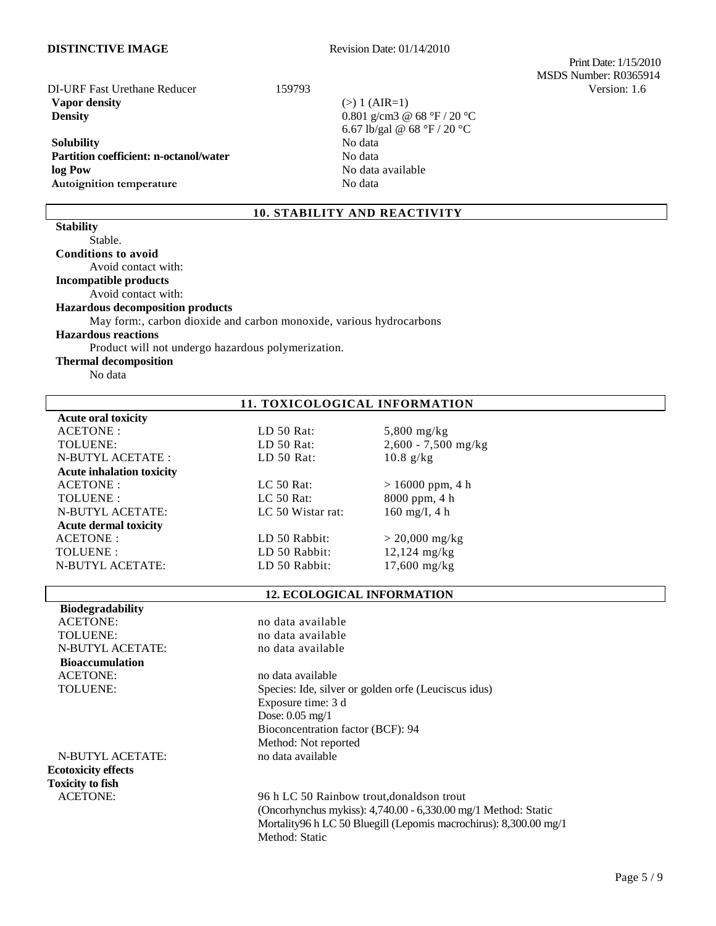**DISTINCTIVE IMAGE** Revision Date: 01/14/2010

 Print Date: 1/15/2010 MSDS Number: R0365914 DI-URF Fast Urethane Reducer 159793 Version: 1.6

**Vapor density** (>) 1 (AIR=1) **Density** 0.801 g/cm3 @ 68 °F / 20 °C

#### **Solubility** No data Partition coefficient: n-octanol/water **No data** No data **log Pow** No data available Autoignition temperature No data

6.67 lb/gal @ 68 °F / 20 °C

# **10. STABILITY AND REACTIVITY**

**Conditions to avoid**  Avoid contact with: **Incompatible products**  Avoid contact with: **Hazardous decomposition products** May form:, carbon dioxide and carbon monoxide, various hydrocarbons **Hazardous reactions** Product will not undergo hazardous polymerization.

#### **Thermal decomposition**

No data

Stable.

**Stability**

#### **11. TOXICOLOGICAL INFORMATION**

**Acute oral toxicity** ACETONE : LD 50 Rat: 5,800 mg/kg<br>TOLUENE: LD 50 Rat: 2.600 - 7.500 TOLUENE: LD 50 Rat: 2,600 - 7,500 mg/kg N-BUTYL ACETATE : LD 50 Rat: 10.8 g/kg **Acute inhalation toxicity** ACETONE : LC 50 Rat: > 16000 ppm, 4 h TOLUENE : LC 50 Rat: 8000 ppm, 4 h N-BUTYL ACETATE: LC 50 Wistar rat: 160 mg/I, 4 h **Acute dermal toxicity**  $ACEPTONE:$  LD 50 Rabbit:  $> 20,000 \text{ mg/kg}$ TOLUENE : LD 50 Rabbit: 12,124 mg/kg N-BUTYL ACETATE: LD 50 Rabbit: 17,600 mg/kg

#### **12. ECOLOGICAL INFORMATION**

| <b>Biodegradability</b>    |                                                                   |
|----------------------------|-------------------------------------------------------------------|
| <b>ACETONE:</b>            | no data available                                                 |
| TOLUENE:                   | no data available                                                 |
| <b>N-BUTYL ACETATE:</b>    | no data available                                                 |
| <b>Bioaccumulation</b>     |                                                                   |
| <b>ACETONE:</b>            | no data available                                                 |
| <b>TOLUENE:</b>            | Species: Ide, silver or golden orfe (Leuciscus idus)              |
|                            | Exposure time: 3 d                                                |
|                            | Dose: $0.05 \text{ mg}/1$                                         |
|                            | Bioconcentration factor (BCF): 94                                 |
|                            | Method: Not reported                                              |
| N-BUTYL ACETATE:           | no data available                                                 |
| <b>Ecotoxicity effects</b> |                                                                   |
| <b>Toxicity to fish</b>    |                                                                   |
| <b>ACETONE:</b>            | 96 h LC 50 Rainbow trout, donalds on trout                        |
|                            | (Oncorhynchus mykiss): $4,740.00 - 6,330.00$ mg/1 Method: Static  |
|                            | Mortality96 h LC 50 Bluegill (Lepomis macrochirus): 8,300.00 mg/1 |
|                            | Method: Static                                                    |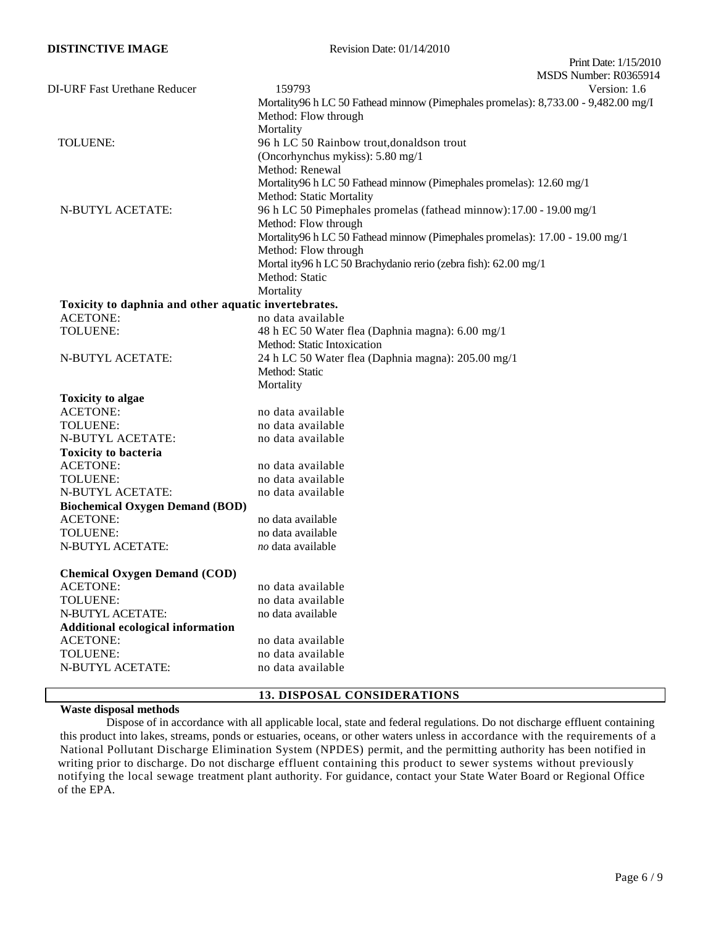| <b>DISTINCTIVE IMAGE</b>                             | Revision Date: 01/14/2010                                                          |
|------------------------------------------------------|------------------------------------------------------------------------------------|
|                                                      | Print Date: 1/15/2010                                                              |
|                                                      | MSDS Number: R0365914                                                              |
| <b>DI-URF Fast Urethane Reducer</b>                  | 159793<br>Version: 1.6                                                             |
|                                                      | Mortality96 h LC 50 Fathead minnow (Pimephales promelas): 8,733.00 - 9,482.00 mg/I |
|                                                      | Method: Flow through                                                               |
|                                                      | Mortality                                                                          |
| TOLUENE:                                             | 96 h LC 50 Rainbow trout, donaldson trout                                          |
|                                                      | (Oncorhynchus mykiss): 5.80 mg/1                                                   |
|                                                      | Method: Renewal                                                                    |
|                                                      | Mortality96 h LC 50 Fathead minnow (Pimephales promelas): 12.60 mg/1               |
|                                                      | Method: Static Mortality                                                           |
| N-BUTYL ACETATE:                                     | 96 h LC 50 Pimephales promelas (fathead minnow): 17.00 - 19.00 mg/1                |
|                                                      | Method: Flow through                                                               |
|                                                      | Mortality96 h LC 50 Fathead minnow (Pimephales promelas): 17.00 - 19.00 mg/1       |
|                                                      | Method: Flow through                                                               |
|                                                      | Mortal ity96 h LC 50 Brachydanio rerio (zebra fish): 62.00 mg/1<br>Method: Static  |
|                                                      | Mortality                                                                          |
| Toxicity to daphnia and other aquatic invertebrates. |                                                                                    |
| <b>ACETONE:</b>                                      | no data available                                                                  |
| TOLUENE:                                             | 48 h EC 50 Water flea (Daphnia magna): 6.00 mg/1                                   |
|                                                      | Method: Static Intoxication                                                        |
| <b>N-BUTYL ACETATE:</b>                              | 24 h LC 50 Water flea (Daphnia magna): 205.00 mg/1                                 |
|                                                      | Method: Static                                                                     |
|                                                      | Mortality                                                                          |
| <b>Toxicity to algae</b>                             |                                                                                    |
| <b>ACETONE:</b>                                      | no data available                                                                  |
| TOLUENE:                                             | no data available                                                                  |
| <b>N-BUTYL ACETATE:</b>                              | no data available                                                                  |
| <b>Toxicity to bacteria</b>                          |                                                                                    |
| <b>ACETONE:</b>                                      | no data available                                                                  |
| TOLUENE:                                             | no data available                                                                  |
| N-BUTYL ACETATE:                                     | no data available                                                                  |
| <b>Biochemical Oxygen Demand (BOD)</b>               |                                                                                    |
| <b>ACETONE:</b>                                      | no data available                                                                  |
| TOLUENE:                                             | no data available                                                                  |
| N-BUTYL ACETATE:                                     | no data available                                                                  |
| <b>Chemical Oxygen Demand (COD)</b>                  |                                                                                    |
| <b>ACETONE:</b>                                      | no data available                                                                  |
| TOLUENE:                                             | no data available                                                                  |
| N-BUTYL ACETATE:                                     | no data available                                                                  |
| <b>Additional ecological information</b>             |                                                                                    |
| <b>ACETONE:</b>                                      | no data available                                                                  |
| TOLUENE:                                             | no data available                                                                  |
| N-BUTYL ACETATE:                                     | no data available                                                                  |
|                                                      |                                                                                    |

# **13. DISPOSAL CONSIDERATIONS**

### **Waste disposal methods**

Dispose of in accordance with all applicable local, state and federal regulations. Do not discharge effluent containing this product into lakes, streams, ponds or estuaries, oceans, or other waters unless in accordance with the requirements of a National Pollutant Discharge Elimination System (NPDES) permit, and the permitting authority has been notified in writing prior to discharge. Do not discharge effluent containing this product to sewer systems without previously notifying the local sewage treatment plant authority. For guidance, contact your State Water Board or Regional Office of the EPA.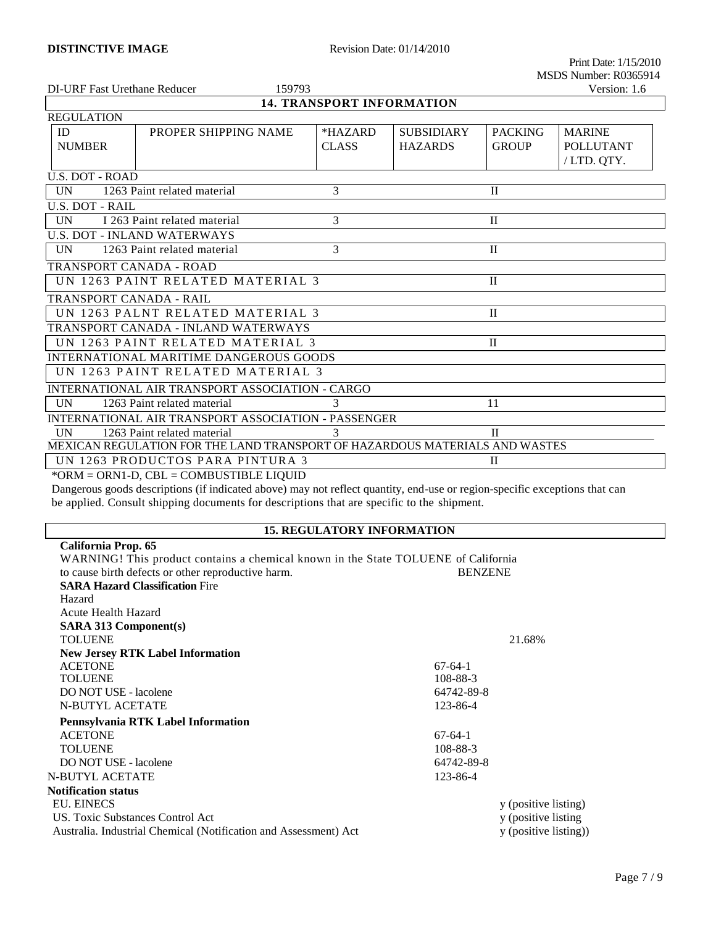| DI-URF Fast Urethane Reducer<br>159793                                      |                                         |                                  | Version: 1.6      |                |                  |
|-----------------------------------------------------------------------------|-----------------------------------------|----------------------------------|-------------------|----------------|------------------|
|                                                                             |                                         | <b>14. TRANSPORT INFORMATION</b> |                   |                |                  |
| <b>REGULATION</b>                                                           |                                         |                                  |                   |                |                  |
| ID                                                                          | PROPER SHIPPING NAME                    | *HAZARD                          | <b>SUBSIDIARY</b> | <b>PACKING</b> | <b>MARINE</b>    |
| <b>NUMBER</b>                                                               |                                         | <b>CLASS</b>                     | <b>HAZARDS</b>    | <b>GROUP</b>   | <b>POLLUTANT</b> |
|                                                                             |                                         |                                  |                   |                | /LTD. QTY.       |
| <b>U.S. DOT - ROAD</b>                                                      |                                         |                                  |                   |                |                  |
| UN                                                                          | 1263 Paint related material             | 3                                |                   | $\mathbf{I}$   |                  |
| <b>U.S. DOT - RAIL</b>                                                      |                                         |                                  |                   |                |                  |
| <b>UN</b>                                                                   | I 263 Paint related material            | 3                                |                   | $\mathbf{I}$   |                  |
|                                                                             | <b>U.S. DOT - INLAND WATERWAYS</b>      |                                  |                   |                |                  |
| <b>UN</b>                                                                   | 1263 Paint related material             | $\mathcal{R}$                    |                   | $\mathbf{I}$   |                  |
| TRANSPORT CANADA - ROAD                                                     |                                         |                                  |                   |                |                  |
| UN 1263 PAINT RELATED MATERIAL 3<br>$\mathbf{H}$                            |                                         |                                  |                   |                |                  |
| TRANSPORT CANADA - RAIL                                                     |                                         |                                  |                   |                |                  |
|                                                                             | UN 1263 PALNT RELATED MATERIAL 3        |                                  |                   | $\Pi$          |                  |
|                                                                             | TRANSPORT CANADA - INLAND WATERWAYS     |                                  |                   |                |                  |
| UN 1263 PAINT RELATED MATERIAL 3<br>$\mathbf{I}$                            |                                         |                                  |                   |                |                  |
|                                                                             | INTERNATIONAL MARITIME DANGEROUS GOODS  |                                  |                   |                |                  |
| UN 1263 PAINT RELATED MATERIAL 3                                            |                                         |                                  |                   |                |                  |
| INTERNATIONAL AIR TRANSPORT ASSOCIATION - CARGO                             |                                         |                                  |                   |                |                  |
| <b>IIN</b><br>1263 Paint related material<br>3<br>11                        |                                         |                                  |                   |                |                  |
| INTERNATIONAL AIR TRANSPORT ASSOCIATION - PASSENGER                         |                                         |                                  |                   |                |                  |
| 1263 Paint related material<br>3<br>$\mathbf{I}$<br><b>UN</b>               |                                         |                                  |                   |                |                  |
| MEXICAN REGULATION FOR THE LAND TRANSPORT OF HAZARDOUS MATERIALS AND WASTES |                                         |                                  |                   |                |                  |
| UN 1263 PRODUCTOS PARA PINTURA 3<br>$\mathbf{I}$                            |                                         |                                  |                   |                |                  |
|                                                                             | *ORM = ORN1-D, CBL = COMBUSTIBLE LIQUID |                                  |                   |                |                  |

Dangerous goods descriptions (if indicated above) may not reflect quantity, end-use or region-specific exceptions that can be applied. Consult shipping documents for descriptions that are specific to the shipment.

# **15. REGULATORY INFORMATION**

| California Prop. 65                                                                |                |                       |
|------------------------------------------------------------------------------------|----------------|-----------------------|
| WARNING! This product contains a chemical known in the State TOLUENE of California |                |                       |
| to cause birth defects or other reproductive harm.                                 | <b>BENZENE</b> |                       |
| <b>SARA Hazard Classification Fire</b>                                             |                |                       |
| Hazard                                                                             |                |                       |
| Acute Health Hazard                                                                |                |                       |
| <b>SARA 313 Component(s)</b>                                                       |                |                       |
| <b>TOLUENE</b>                                                                     |                | 21.68%                |
| <b>New Jersey RTK Label Information</b>                                            |                |                       |
| <b>ACETONE</b>                                                                     | $67-64-1$      |                       |
| <b>TOLUENE</b>                                                                     | 108-88-3       |                       |
| DO NOT USE - lacolene                                                              | 64742-89-8     |                       |
| <b>N-BUTYL ACETATE</b>                                                             | 123-86-4       |                       |
| Pennsylvania RTK Label Information                                                 |                |                       |
| <b>ACETONE</b>                                                                     | $67-64-1$      |                       |
| <b>TOLUENE</b>                                                                     | 108-88-3       |                       |
| DO NOT USE - lacolene                                                              | 64742-89-8     |                       |
| N-BUTYL ACETATE                                                                    | 123-86-4       |                       |
| Notification status                                                                |                |                       |
| <b>EU. EINECS</b>                                                                  |                | y (positive listing)  |
| US. Toxic Substances Control Act                                                   |                | y (positive listing   |
| Australia. Industrial Chemical (Notification and Assessment) Act                   |                | y (positive listing)) |
|                                                                                    |                |                       |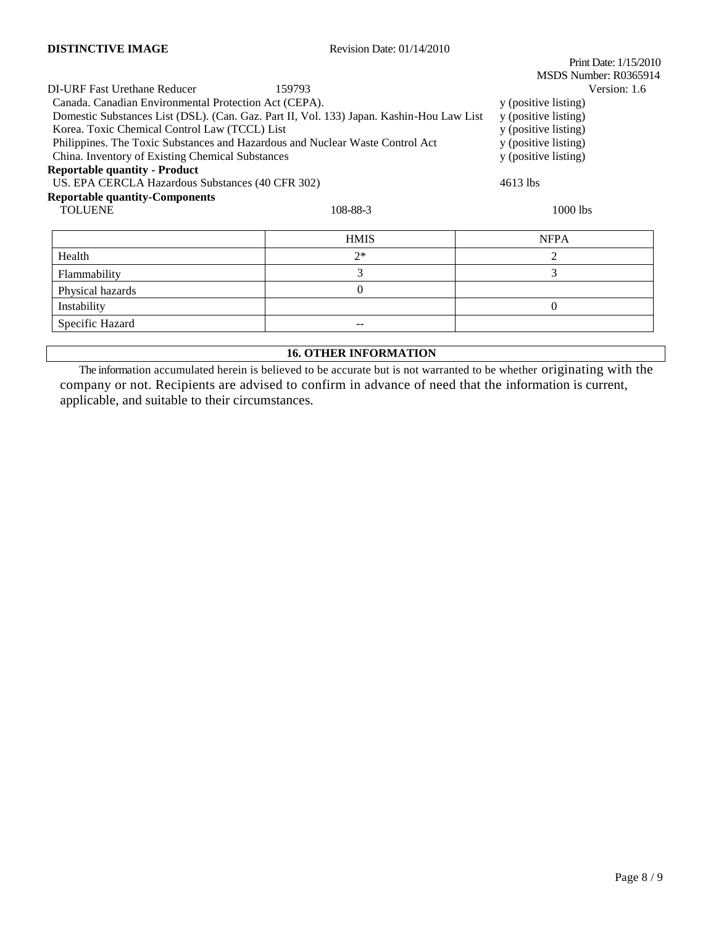|                                                                               |                                                                                          | Print Date: 1/15/2010 |  |  |
|-------------------------------------------------------------------------------|------------------------------------------------------------------------------------------|-----------------------|--|--|
|                                                                               |                                                                                          | MSDS Number: R0365914 |  |  |
| DI-URF Fast Urethane Reducer                                                  | 159793                                                                                   | Version: 1.6          |  |  |
| Canada. Canadian Environmental Protection Act (CEPA).                         |                                                                                          | y (positive listing)  |  |  |
|                                                                               | Domestic Substances List (DSL). (Can. Gaz. Part II, Vol. 133) Japan. Kashin-Hou Law List | y (positive listing)  |  |  |
| Korea. Toxic Chemical Control Law (TCCL) List                                 |                                                                                          | y (positive listing)  |  |  |
| Philippines. The Toxic Substances and Hazardous and Nuclear Waste Control Act |                                                                                          | y (positive listing)  |  |  |
| China. Inventory of Existing Chemical Substances                              | y (positive listing)                                                                     |                       |  |  |
| <b>Reportable quantity - Product</b>                                          |                                                                                          |                       |  |  |
| US. EPA CERCLA Hazardous Substances (40 CFR 302)                              |                                                                                          | 4613 lbs              |  |  |
| <b>Reportable quantity-Components</b>                                         |                                                                                          |                       |  |  |
| <b>TOLUENE</b>                                                                | 108-88-3                                                                                 | $1000$ lbs            |  |  |
|                                                                               |                                                                                          |                       |  |  |
|                                                                               | <b>HMIS</b>                                                                              | <b>NFPA</b>           |  |  |
| Health                                                                        | $2*$                                                                                     | 2                     |  |  |
| Flammability                                                                  | 3                                                                                        | 3                     |  |  |
| Physical hazards                                                              | $\Omega$                                                                                 |                       |  |  |
| Instability                                                                   |                                                                                          | $\Omega$              |  |  |
| Specific Hazard                                                               |                                                                                          |                       |  |  |

#### **16. OTHER INFORMATION**

The information accumulated herein is believed to be accurate but is not warranted to be whether originating with the company or not. Recipients are advised to confirm in advance of need that the information is current, applicable, and suitable to their circumstances.